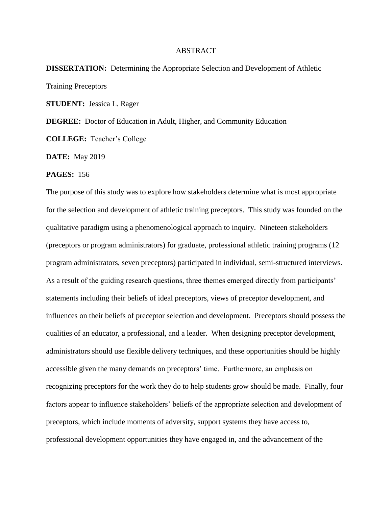## ABSTRACT

## **DISSERTATION:** Determining the Appropriate Selection and Development of Athletic Training Preceptors

**STUDENT:** Jessica L. Rager

**DEGREE:** Doctor of Education in Adult, Higher, and Community Education

**COLLEGE:** Teacher's College

**DATE:** May 2019

## **PAGES:** 156

The purpose of this study was to explore how stakeholders determine what is most appropriate for the selection and development of athletic training preceptors. This study was founded on the qualitative paradigm using a phenomenological approach to inquiry. Nineteen stakeholders (preceptors or program administrators) for graduate, professional athletic training programs (12 program administrators, seven preceptors) participated in individual, semi-structured interviews. As a result of the guiding research questions, three themes emerged directly from participants' statements including their beliefs of ideal preceptors, views of preceptor development, and influences on their beliefs of preceptor selection and development. Preceptors should possess the qualities of an educator, a professional, and a leader. When designing preceptor development, administrators should use flexible delivery techniques, and these opportunities should be highly accessible given the many demands on preceptors' time. Furthermore, an emphasis on recognizing preceptors for the work they do to help students grow should be made. Finally, four factors appear to influence stakeholders' beliefs of the appropriate selection and development of preceptors, which include moments of adversity, support systems they have access to, professional development opportunities they have engaged in, and the advancement of the